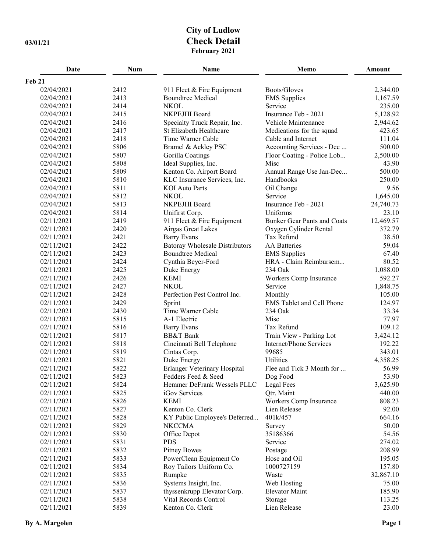## **City of Ludlow 03/01/21 Check Detail February 2021**

| Date          | Num  | Name                                  | Memo                               | Amount    |
|---------------|------|---------------------------------------|------------------------------------|-----------|
| <b>Feb 21</b> |      |                                       |                                    |           |
| 02/04/2021    | 2412 | 911 Fleet & Fire Equipment            | Boots/Gloves                       | 2,344.00  |
| 02/04/2021    | 2413 | <b>Boundtree Medical</b>              | <b>EMS</b> Supplies                | 1,167.59  |
| 02/04/2021    | 2414 | <b>NKOL</b>                           | Service                            | 235.00    |
| 02/04/2021    | 2415 | NKPEJHI Board                         | Insurance Feb - 2021               | 5,128.92  |
| 02/04/2021    | 2416 | Specialty Truck Repair, Inc.          | Vehicle Maintenance                | 2,944.62  |
| 02/04/2021    | 2417 | St Elizabeth Healthcare               | Medications for the squad          | 423.65    |
| 02/04/2021    | 2418 | Time Warner Cable                     | Cable and Internet                 | 111.04    |
| 02/04/2021    | 5806 | Bramel & Ackley PSC                   | Accounting Services - Dec          | 500.00    |
| 02/04/2021    | 5807 | Gorilla Coatings                      | Floor Coating - Police Lob         | 2,500.00  |
| 02/04/2021    | 5808 | Ideal Supplies, Inc.                  | Misc                               | 43.90     |
| 02/04/2021    | 5809 | Kenton Co. Airport Board              | Annual Range Use Jan-Dec           | 500.00    |
| 02/04/2021    | 5810 | KLC Insurance Services, Inc.          | Handbooks                          | 250.00    |
| 02/04/2021    | 5811 | <b>KOI</b> Auto Parts                 | Oil Change                         | 9.56      |
| 02/04/2021    | 5812 | <b>NKOL</b>                           | Service                            | 1,645.00  |
| 02/04/2021    | 5813 | NKPEJHI Board                         | Insurance Feb - 2021               | 24,740.73 |
| 02/04/2021    | 5814 | Unifirst Corp.                        | Uniforms                           | 23.10     |
| 02/11/2021    | 2419 | 911 Fleet & Fire Equipment            | <b>Bunker Gear Pants and Coats</b> | 12,469.57 |
| 02/11/2021    | 2420 | Airgas Great Lakes                    | Oxygen Cylinder Rental             | 372.79    |
| 02/11/2021    | 2421 | <b>Barry Evans</b>                    | Tax Refund                         | 38.50     |
| 02/11/2021    | 2422 | <b>Batoray Wholesale Distributors</b> | <b>AA</b> Batteries                | 59.04     |
| 02/11/2021    | 2423 | <b>Boundtree Medical</b>              | <b>EMS</b> Supplies                | 67.40     |
| 02/11/2021    | 2424 | Cynthia Beyer-Ford                    | HRA - Claim Reimbursem             | 80.52     |
| 02/11/2021    | 2425 | Duke Energy                           | 234 Oak                            | 1,088.00  |
| 02/11/2021    | 2426 | <b>KEMI</b>                           | Workers Comp Insurance             | 592.27    |
| 02/11/2021    | 2427 | <b>NKOL</b>                           | Service                            | 1,848.75  |
| 02/11/2021    | 2428 | Perfection Pest Control Inc.          | Monthly                            | 105.00    |
| 02/11/2021    | 2429 | Sprint                                | <b>EMS</b> Tablet and Cell Phone   | 124.97    |
| 02/11/2021    | 2430 | Time Warner Cable                     | 234 Oak                            | 33.34     |
| 02/11/2021    | 5815 | A-1 Electric                          | Misc                               | 77.97     |
| 02/11/2021    | 5816 | <b>Barry Evans</b>                    | Tax Refund                         | 109.12    |
| 02/11/2021    | 5817 | <b>BB&amp;T</b> Bank                  | Train View - Parking Lot           | 3,424.12  |
| 02/11/2021    | 5818 | Cincinnati Bell Telephone             | Internet/Phone Services            | 192.22    |
| 02/11/2021    | 5819 | Cintas Corp.                          | 99685                              | 343.01    |
| 02/11/2021    | 5821 | Duke Energy                           | Utilities                          | 4,358.25  |
| 02/11/2021    | 5822 | Erlanger Veterinary Hospital          | Flee and Tick 3 Month for          | 56.99     |
| 02/11/2021    | 5823 | Fedders Feed & Seed                   | Dog Food                           | 53.90     |
| 02/11/2021    | 5824 | Hemmer DeFrank Wessels PLLC           | Legal Fees                         | 3,625.90  |
| 02/11/2021    | 5825 | iGov Services                         | Qtr. Maint                         | 440.00    |
| 02/11/2021    | 5826 | <b>KEMI</b>                           | Workers Comp Insurance             | 808.23    |
| 02/11/2021    | 5827 | Kenton Co. Clerk                      | Lien Release                       | 92.00     |
| 02/11/2021    | 5828 | KY Public Employee's Deferred         | 401k/457                           | 664.16    |
| 02/11/2021    | 5829 | <b>NKCCMA</b>                         | Survey                             | 50.00     |
| 02/11/2021    | 5830 | Office Depot                          | 35186366                           | 54.56     |
| 02/11/2021    | 5831 | <b>PDS</b>                            | Service                            | 274.02    |
| 02/11/2021    | 5832 | <b>Pitney Bowes</b>                   | Postage                            | 208.99    |
| 02/11/2021    | 5833 | PowerClean Equipment Co               | Hose and Oil                       | 195.05    |
| 02/11/2021    | 5834 | Roy Tailors Uniform Co.               | 1000727159                         | 157.80    |
| 02/11/2021    | 5835 | Rumpke                                | Waste                              | 32,867.10 |
| 02/11/2021    | 5836 | Systems Insight, Inc.                 | Web Hosting                        | 75.00     |
| 02/11/2021    | 5837 | thyssenkrupp Elevator Corp.           | <b>Elevator Maint</b>              | 185.90    |
| 02/11/2021    | 5838 | Vital Records Control                 | Storage                            | 113.25    |
| 02/11/2021    | 5839 | Kenton Co. Clerk                      | Lien Release                       | 23.00     |